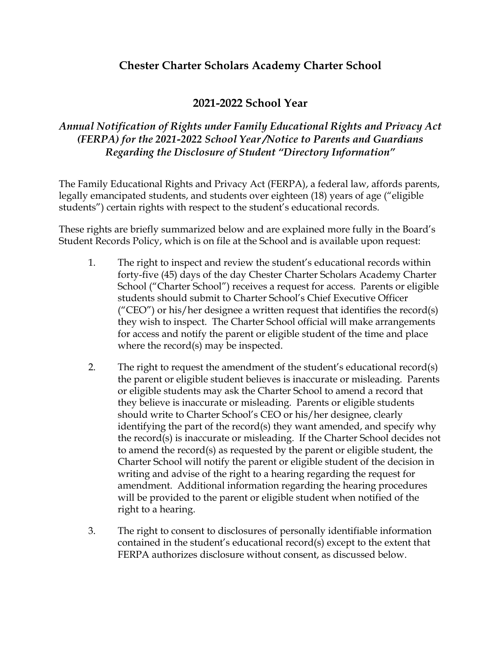# **Chester Charter Scholars Academy Charter School**

## **2021-2022 School Year**

### *Annual Notification of Rights under Family Educational Rights and Privacy Act (FERPA) for the 2021-2022 School Year /Notice to Parents and Guardians Regarding the Disclosure of Student "Directory Information"*

The Family Educational Rights and Privacy Act (FERPA), a federal law, affords parents, legally emancipated students, and students over eighteen (18) years of age ("eligible students") certain rights with respect to the student's educational records.

These rights are briefly summarized below and are explained more fully in the Board's Student Records Policy, which is on file at the School and is available upon request:

- 1. The right to inspect and review the student's educational records within forty-five (45) days of the day Chester Charter Scholars Academy Charter School ("Charter School") receives a request for access. Parents or eligible students should submit to Charter School's Chief Executive Officer ("CEO") or his/her designee a written request that identifies the record(s) they wish to inspect. The Charter School official will make arrangements for access and notify the parent or eligible student of the time and place where the record(s) may be inspected.
- 2. The right to request the amendment of the student's educational record(s) the parent or eligible student believes is inaccurate or misleading. Parents or eligible students may ask the Charter School to amend a record that they believe is inaccurate or misleading. Parents or eligible students should write to Charter School's CEO or his/her designee, clearly identifying the part of the record(s) they want amended, and specify why the record(s) is inaccurate or misleading. If the Charter School decides not to amend the record(s) as requested by the parent or eligible student, the Charter School will notify the parent or eligible student of the decision in writing and advise of the right to a hearing regarding the request for amendment. Additional information regarding the hearing procedures will be provided to the parent or eligible student when notified of the right to a hearing.
- 3. The right to consent to disclosures of personally identifiable information contained in the student's educational record(s) except to the extent that FERPA authorizes disclosure without consent, as discussed below.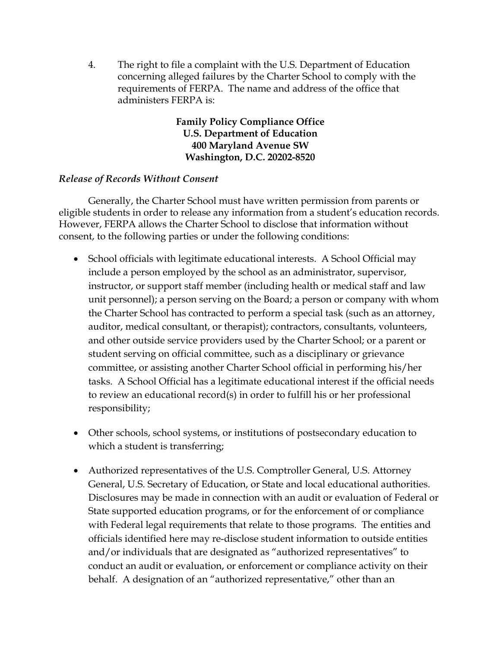4. The right to file a complaint with the U.S. Department of Education concerning alleged failures by the Charter School to comply with the requirements of FERPA. The name and address of the office that administers FERPA is:

> **Family Policy Compliance Office U.S. Department of Education 400 Maryland Avenue SW Washington, D.C. 20202-8520**

#### *Release of Records Without Consent*

Generally, the Charter School must have written permission from parents or eligible students in order to release any information from a student's education records. However, FERPA allows the Charter School to disclose that information without consent, to the following parties or under the following conditions:

- School officials with legitimate educational interests. A School Official may include a person employed by the school as an administrator, supervisor, instructor, or support staff member (including health or medical staff and law unit personnel); a person serving on the Board; a person or company with whom the Charter School has contracted to perform a special task (such as an attorney, auditor, medical consultant, or therapist); contractors, consultants, volunteers, and other outside service providers used by the Charter School; or a parent or student serving on official committee, such as a disciplinary or grievance committee, or assisting another Charter School official in performing his/her tasks. A School Official has a legitimate educational interest if the official needs to review an educational record(s) in order to fulfill his or her professional responsibility;
- Other schools, school systems, or institutions of postsecondary education to which a student is transferring;
- Authorized representatives of the U.S. Comptroller General, U.S. Attorney General, U.S. Secretary of Education, or State and local educational authorities. Disclosures may be made in connection with an audit or evaluation of Federal or State supported education programs, or for the enforcement of or compliance with Federal legal requirements that relate to those programs. The entities and officials identified here may re-disclose student information to outside entities and/or individuals that are designated as "authorized representatives" to conduct an audit or evaluation, or enforcement or compliance activity on their behalf. A designation of an "authorized representative," other than an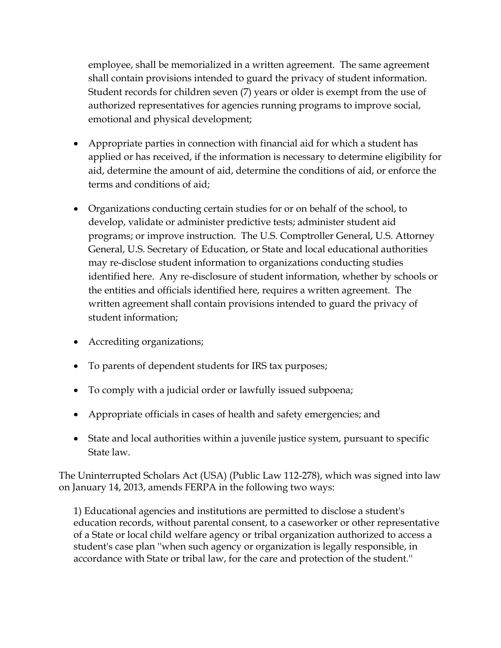employee, shall be memorialized in a written agreement. The same agreement shall contain provisions intended to guard the privacy of student information. Student records for children seven (7) years or older is exempt from the use of authorized representatives for agencies running programs to improve social, emotional and physical development;

- Appropriate parties in connection with financial aid for which a student has applied or has received, if the information is necessary to determine eligibility for aid, determine the amount of aid, determine the conditions of aid, or enforce the terms and conditions of aid;
- Organizations conducting certain studies for or on behalf of the school, to develop, validate or administer predictive tests; administer student aid programs; or improve instruction. The U.S. Comptroller General, U.S. Attorney General, U.S. Secretary of Education, or State and local educational authorities may re-disclose student information to organizations conducting studies identified here. Any re-disclosure of student information, whether by schools or the entities and officials identified here, requires a written agreement. The written agreement shall contain provisions intended to guard the privacy of student information;
- Accrediting organizations;
- To parents of dependent students for IRS tax purposes;
- To comply with a judicial order or lawfully issued subpoena;
- Appropriate officials in cases of health and safety emergencies; and
- State and local authorities within a juvenile justice system, pursuant to specific State law.

The Uninterrupted Scholars Act (USA) (Public Law 112-278), which was signed into law on January 14, 2013, amends FERPA in the following two ways:

1) Educational agencies and institutions are permitted to disclose a student's education records, without parental consent, to a caseworker or other representative of a State or local child welfare agency or tribal organization authorized to access a student's case plan ''when such agency or organization is legally responsible, in accordance with State or tribal law, for the care and protection of the student.''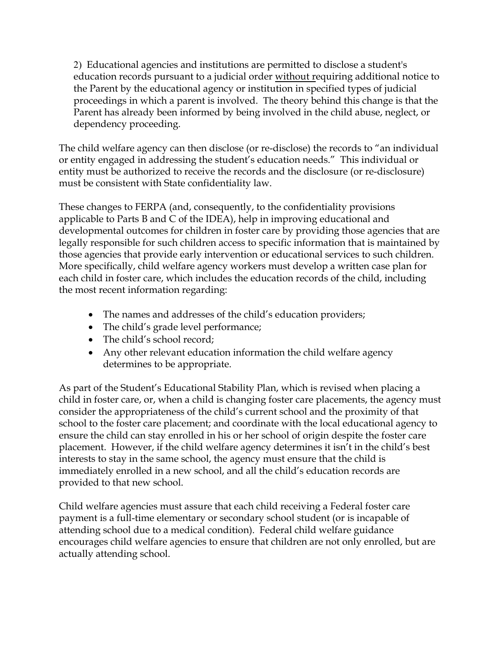2) Educational agencies and institutions are permitted to disclose a student's education records pursuant to a judicial order without requiring additional notice to the Parent by the educational agency or institution in specified types of judicial proceedings in which a parent is involved. The theory behind this change is that the Parent has already been informed by being involved in the child abuse, neglect, or dependency proceeding.

The child welfare agency can then disclose (or re-disclose) the records to "an individual or entity engaged in addressing the student's education needs." This individual or entity must be authorized to receive the records and the disclosure (or re-disclosure) must be consistent with State confidentiality law.

These changes to FERPA (and, consequently, to the confidentiality provisions applicable to Parts B and C of the IDEA), help in improving educational and developmental outcomes for children in foster care by providing those agencies that are legally responsible for such children access to specific information that is maintained by those agencies that provide early intervention or educational services to such children. More specifically, child welfare agency workers must develop a written case plan for each child in foster care, which includes the education records of the child, including the most recent information regarding:

- The names and addresses of the child's education providers;
- The child's grade level performance;
- The child's school record;
- Any other relevant education information the child welfare agency determines to be appropriate.

As part of the Student's Educational Stability Plan, which is revised when placing a child in foster care, or, when a child is changing foster care placements, the agency must consider the appropriateness of the child's current school and the proximity of that school to the foster care placement; and coordinate with the local educational agency to ensure the child can stay enrolled in his or her school of origin despite the foster care placement. However, if the child welfare agency determines it isn't in the child's best interests to stay in the same school, the agency must ensure that the child is immediately enrolled in a new school, and all the child's education records are provided to that new school.

Child welfare agencies must assure that each child receiving a Federal foster care payment is a full-time elementary or secondary school student (or is incapable of attending school due to a medical condition). Federal child welfare guidance encourages child welfare agencies to ensure that children are not only enrolled, but are actually attending school.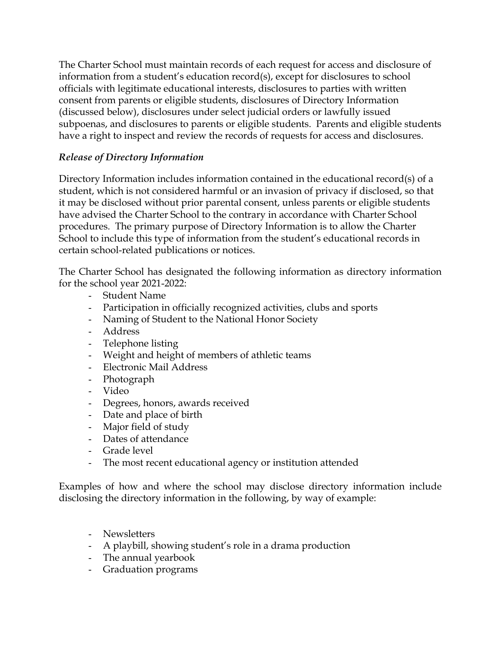The Charter School must maintain records of each request for access and disclosure of information from a student's education record(s), except for disclosures to school officials with legitimate educational interests, disclosures to parties with written consent from parents or eligible students, disclosures of Directory Information (discussed below), disclosures under select judicial orders or lawfully issued subpoenas, and disclosures to parents or eligible students. Parents and eligible students have a right to inspect and review the records of requests for access and disclosures.

## *Release of Directory Information*

Directory Information includes information contained in the educational record(s) of a student, which is not considered harmful or an invasion of privacy if disclosed, so that it may be disclosed without prior parental consent, unless parents or eligible students have advised the Charter School to the contrary in accordance with Charter School procedures. The primary purpose of Directory Information is to allow the Charter School to include this type of information from the student's educational records in certain school-related publications or notices.

The Charter School has designated the following information as directory information for the school year 2021-2022:

- Student Name
- Participation in officially recognized activities, clubs and sports
- Naming of Student to the National Honor Society
- Address
- Telephone listing
- Weight and height of members of athletic teams
- Electronic Mail Address
- Photograph
- Video
- Degrees, honors, awards received
- Date and place of birth
- Major field of study
- Dates of attendance
- Grade level
- The most recent educational agency or institution attended

Examples of how and where the school may disclose directory information include disclosing the directory information in the following, by way of example:

- Newsletters
- A playbill, showing student's role in a drama production
- The annual yearbook
- Graduation programs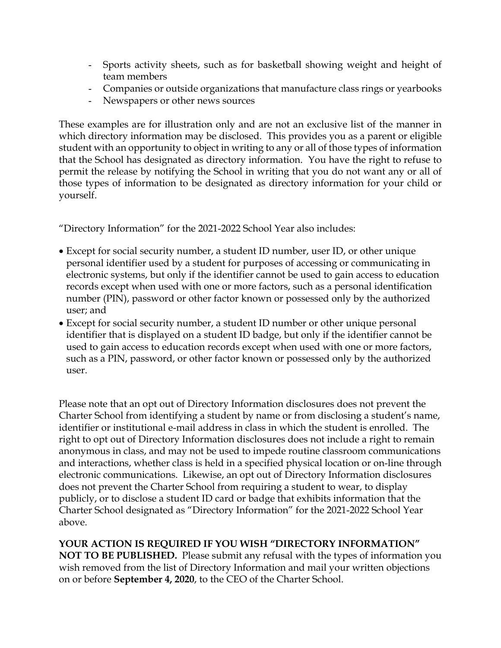- Sports activity sheets, such as for basketball showing weight and height of team members
- Companies or outside organizations that manufacture class rings or yearbooks
- Newspapers or other news sources

These examples are for illustration only and are not an exclusive list of the manner in which directory information may be disclosed. This provides you as a parent or eligible student with an opportunity to object in writing to any or all of those types of information that the School has designated as directory information. You have the right to refuse to permit the release by notifying the School in writing that you do not want any or all of those types of information to be designated as directory information for your child or yourself.

"Directory Information" for the 2021-2022 School Year also includes:

- Except for social security number, a student ID number, user ID, or other unique personal identifier used by a student for purposes of accessing or communicating in electronic systems, but only if the identifier cannot be used to gain access to education records except when used with one or more factors, such as a personal identification number (PIN), password or other factor known or possessed only by the authorized user; and
- Except for social security number, a student ID number or other unique personal identifier that is displayed on a student ID badge, but only if the identifier cannot be used to gain access to education records except when used with one or more factors, such as a PIN, password, or other factor known or possessed only by the authorized user.

Please note that an opt out of Directory Information disclosures does not prevent the Charter School from identifying a student by name or from disclosing a student's name, identifier or institutional e-mail address in class in which the student is enrolled. The right to opt out of Directory Information disclosures does not include a right to remain anonymous in class, and may not be used to impede routine classroom communications and interactions, whether class is held in a specified physical location or on-line through electronic communications. Likewise, an opt out of Directory Information disclosures does not prevent the Charter School from requiring a student to wear, to display publicly, or to disclose a student ID card or badge that exhibits information that the Charter School designated as "Directory Information" for the 2021-2022 School Year above.

**YOUR ACTION IS REQUIRED IF YOU WISH "DIRECTORY INFORMATION" NOT TO BE PUBLISHED.** Please submit any refusal with the types of information you wish removed from the list of Directory Information and mail your written objections on or before **September 4, 2020**, to the CEO of the Charter School.